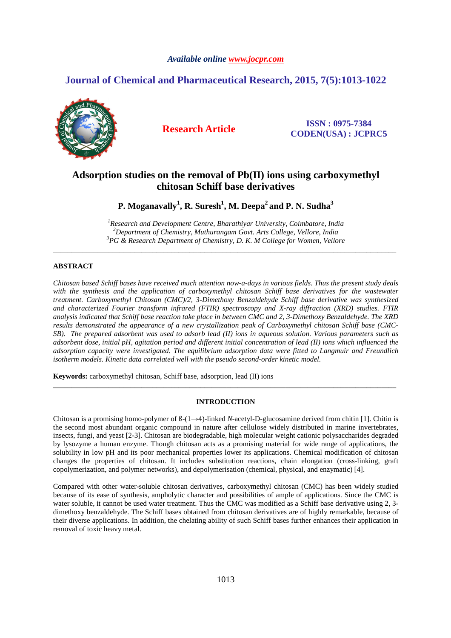# *Available online www.jocpr.com*

# **Journal of Chemical and Pharmaceutical Research, 2015, 7(5):1013-1022**



**Research Article ISSN : 0975-7384 CODEN(USA) : JCPRC5**

# **Adsorption studies on the removal of Pb(II) ions using carboxymethyl chitosan Schiff base derivatives**

**P. Moganavally<sup>1</sup> , R. Suresh<sup>1</sup> , M. Deepa<sup>2</sup>and P. N. Sudha<sup>3</sup>**

*<sup>1</sup>Research and Development Centre, Bharathiyar University, Coimbatore, India <sup>2</sup>Department of Chemistry, Muthurangam Govt. Arts College, Vellore, India <sup>3</sup>PG & Research Department of Chemistry, D. K. M College for Women, Vellore*

\_\_\_\_\_\_\_\_\_\_\_\_\_\_\_\_\_\_\_\_\_\_\_\_\_\_\_\_\_\_\_\_\_\_\_\_\_\_\_\_\_\_\_\_\_\_\_\_\_\_\_\_\_\_\_\_\_\_\_\_\_\_\_\_\_\_\_\_\_\_\_\_\_\_\_\_\_\_\_\_\_\_\_\_\_\_\_\_\_\_\_\_\_

# **ABSTRACT**

*Chitosan based Schiff bases have received much attention now-a-days in various fields. Thus the present study deals with the synthesis and the application of carboxymethyl chitosan Schiff base derivatives for the wastewater treatment. Carboxymethyl Chitosan (CMC)/2, 3-Dimethoxy Benzaldehyde Schiff base derivative was synthesized and characterized Fourier transform infrared (FTIR) spectroscopy and X-ray diffraction (XRD) studies. FTIR analysis indicated that Schiff base reaction take place in between CMC and 2, 3-Dimethoxy Benzaldehyde. The XRD results demonstrated the appearance of a new crystallization peak of Carboxymethyl chitosan Schiff base (CMC-SB). The prepared adsorbent was used to adsorb lead (II) ions in aqueous solution. Various parameters such as adsorbent dose, initial pH, agitation period and different initial concentration of lead (II) ions which influenced the adsorption capacity were investigated. The equilibrium adsorption data were fitted to Langmuir and Freundlich isotherm models. Kinetic data correlated well with the pseudo second-order kinetic model.* 

**Keywords:** carboxymethyl chitosan, Schiff base, adsorption, lead (II) ions

# **INTRODUCTION**

\_\_\_\_\_\_\_\_\_\_\_\_\_\_\_\_\_\_\_\_\_\_\_\_\_\_\_\_\_\_\_\_\_\_\_\_\_\_\_\_\_\_\_\_\_\_\_\_\_\_\_\_\_\_\_\_\_\_\_\_\_\_\_\_\_\_\_\_\_\_\_\_\_\_\_\_\_\_\_\_\_\_\_\_\_\_\_\_\_\_\_\_\_

Chitosan is a promising homo-polymer of ß-(1→4)-linked *N*-acetyl-D-glucosamine derived from chitin [1]. Chitin is the second most abundant organic compound in nature after cellulose widely distributed in marine invertebrates, insects, fungi, and yeast [2-3]. Chitosan are biodegradable, high molecular weight cationic polysaccharides degraded by lysozyme a human enzyme. Though chitosan acts as a promising material for wide range of applications, the solubility in low pH and its poor mechanical properties lower its applications. Chemical modification of chitosan changes the properties of chitosan. It includes substitution reactions, chain elongation (cross-linking, graft copolymerization, and polymer networks), and depolymerisation (chemical, physical, and enzymatic) [4].

Compared with other water-soluble chitosan derivatives, carboxymethyl chitosan (CMC) has been widely studied because of its ease of synthesis, ampholytic character and possibilities of ample of applications. Since the CMC is water soluble, it cannot be used water treatment. Thus the CMC was modified as a Schiff base derivative using 2, 3dimethoxy benzaldehyde. The Schiff bases obtained from chitosan derivatives are of highly remarkable, because of their diverse applications. In addition, the chelating ability of such Schiff bases further enhances their application in removal of toxic heavy metal.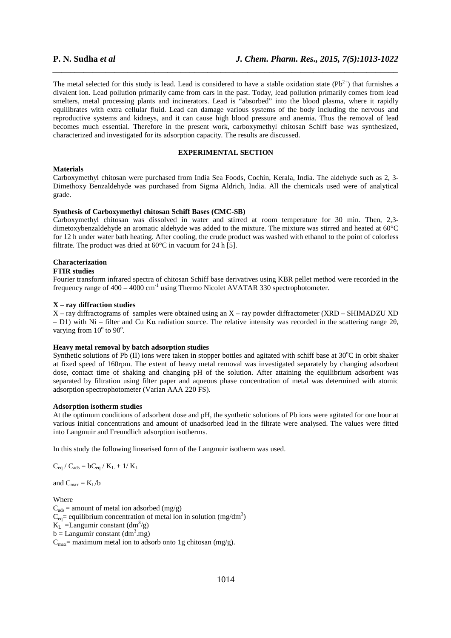The metal selected for this study is lead. Lead is considered to have a stable oxidation state  $(Pb^{2+})$  that furnishes a divalent ion. Lead pollution primarily came from cars in the past. Today, lead pollution primarily comes from lead smelters, metal processing plants and incinerators. Lead is "absorbed" into the blood plasma, where it rapidly equilibrates with extra cellular fluid. Lead can damage various systems of the body including the nervous and reproductive systems and kidneys, and it can cause high blood pressure and anemia. Thus the removal of lead becomes much essential. Therefore in the present work, carboxymethyl chitosan Schiff base was synthesized, characterized and investigated for its adsorption capacity. The results are discussed.

*\_\_\_\_\_\_\_\_\_\_\_\_\_\_\_\_\_\_\_\_\_\_\_\_\_\_\_\_\_\_\_\_\_\_\_\_\_\_\_\_\_\_\_\_\_\_\_\_\_\_\_\_\_\_\_\_\_\_\_\_\_\_\_\_\_\_\_\_\_\_\_\_\_\_\_\_\_\_*

# **EXPERIMENTAL SECTION**

#### **Materials**

Carboxymethyl chitosan were purchased from India Sea Foods, Cochin, Kerala, India. The aldehyde such as 2, 3- Dimethoxy Benzaldehyde was purchased from Sigma Aldrich, India. All the chemicals used were of analytical grade.

# **Synthesis of Carboxymethyl chitosan Schiff Bases (CMC-SB)**

Carboxymethyl chitosan was dissolved in water and stirred at room temperature for 30 min. Then, 2,3 dimetoxybenzaldehyde an aromatic aldehyde was added to the mixture. The mixture was stirred and heated at 60°C for 12 h under water bath heating. After cooling, the crude product was washed with ethanol to the point of colorless filtrate. The product was dried at  $60^{\circ}$ C in vacuum for 24 h [5].

# **Characterization**

# **FTIR studies**

Fourier transform infrared spectra of chitosan Schiff base derivatives using KBR pellet method were recorded in the frequency range of  $400 - 4000 \text{ cm}^{-1}$  using Thermo Nicolet AVATAR 330 spectrophotometer.

# **X – ray diffraction studies**

X – ray diffractograms of samples were obtained using an X – ray powder diffractometer (XRD – SHIMADZU XD – D1) with Ni – filter and Cu Kα radiation source. The relative intensity was recorded in the scattering range  $2\theta$ , varying from  $10^{\circ}$  to  $90^{\circ}$ .

# **Heavy metal removal by batch adsorption studies**

Synthetic solutions of Pb (II) ions were taken in stopper bottles and agitated with schiff base at  $30^{\circ}$ C in orbit shaker at fixed speed of 160rpm. The extent of heavy metal removal was investigated separately by changing adsorbent dose, contact time of shaking and changing pH of the solution. After attaining the equilibrium adsorbent was separated by filtration using filter paper and aqueous phase concentration of metal was determined with atomic adsorption spectrophotometer (Varian AAA 220 FS).

# **Adsorption isotherm studies**

At the optimum conditions of adsorbent dose and pH, the synthetic solutions of Pb ions were agitated for one hour at various initial concentrations and amount of unadsorbed lead in the filtrate were analysed. The values were fitted into Langmuir and Freundlich adsorption isotherms.

In this study the following linearised form of the Langmuir isotherm was used.

$$
C_{eq} \mathbin{/} C_{ads} = b C_{eq} \mathbin{/} K_L + 1 \mathbin{/} K_L
$$

and  $C_{\text{max}} = K_{\text{I}}/b$ 

Where  $C_{ads}$  = amount of metal ion adsorbed (mg/g)  $C_{eq}$  = equilibrium concentration of metal ion in solution (mg/dm<sup>3</sup>)  $K_L$  = Langumir constant  $(dm^3/g)$  $b =$  Langumir constant  $(dm<sup>3</sup>.mg)$  $C_{\text{max}}$  = maximum metal ion to adsorb onto 1g chitosan (mg/g).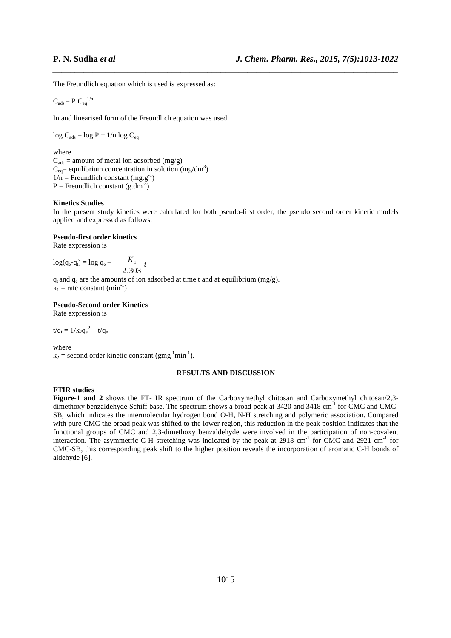The Freundlich equation which is used is expressed as:

$$
C_{ads} = P C_{eq}^{1/n}
$$

In and linearised form of the Freundlich equation was used.

 $log C_{ads} = log P + 1/n log C_{eq}$ 

# where

 $C_{ads}$  = amount of metal ion adsorbed (mg/g)  $C_{eq}$ = equilibrium concentration in solution (mg/dm<sup>3</sup>)  $1/n$  = Freundlich constant (mg.g<sup>-1</sup>)  $P =$  Freundlich constant (g.dm<sup>-3</sup>)

### **Kinetics Studies**

In the present study kinetics were calculated for both pseudo-first order, the pseudo second order kinetic models applied and expressed as follows.

*\_\_\_\_\_\_\_\_\_\_\_\_\_\_\_\_\_\_\_\_\_\_\_\_\_\_\_\_\_\_\_\_\_\_\_\_\_\_\_\_\_\_\_\_\_\_\_\_\_\_\_\_\_\_\_\_\_\_\_\_\_\_\_\_\_\_\_\_\_\_\_\_\_\_\_\_\_\_*

### **Pseudo-first order kinetics**

Rate expression is

$$
log(q_e - q_t) = log q_e - \frac{K_1}{2.303}t
$$

 $q_t$  and  $q_e$  are the amounts of ion adsorbed at time t and at equilibrium (mg/g).  $k_1$  = rate constant (min<sup>-1</sup>)

# **Pseudo-Second order Kinetics**

Rate expression is

$$
t/q_t=1/{k_2q_e}^2+t/q_e
$$

where

 $k_2$  = second order kinetic constant (gmg<sup>-1</sup>min<sup>-1</sup>).

# **RESULTS AND DISCUSSION**

# **FTIR studies**

**Figure-1 and 2** shows the FT- IR spectrum of the Carboxymethyl chitosan and Carboxymethyl chitosan/2,3 dimethoxy benzaldehyde Schiff base. The spectrum shows a broad peak at 3420 and 3418 cm<sup>-1</sup> for CMC and CMC-SB, which indicates the intermolecular hydrogen bond O-H, N-H stretching and polymeric association. Compared with pure CMC the broad peak was shifted to the lower region, this reduction in the peak position indicates that the functional groups of CMC and 2,3-dimethoxy benzaldehyde were involved in the participation of non-covalent interaction. The asymmetric C-H stretching was indicated by the peak at 2918 cm<sup>-1</sup> for CMC and 2921 cm<sup>-1</sup> for CMC-SB, this corresponding peak shift to the higher position reveals the incorporation of aromatic C-H bonds of aldehyde [6].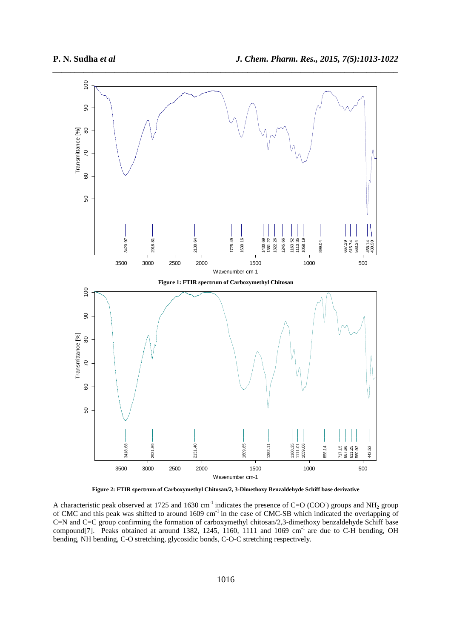

**Figure 2: FTIR spectrum of Carboxymethyl Chitosan/2, 3-Dimethoxy Benzaldehyde Schiff base derivative** 

A characteristic peak observed at 1725 and 1630 cm<sup>-1</sup> indicates the presence of C=O (COO) groups and NH<sub>2</sub> group of CMC and this peak was shifted to around 1609 cm<sup>-1</sup> in the case of CMC-SB which indicated the overlapping of C=N and C=C group confirming the formation of carboxymethyl chitosan/2,3-dimethoxy benzaldehyde Schiff base compound[7]. Peaks obtained at around 1382, 1245, 1160, 1111 and 1069 cm<sup>-1</sup> are due to C-H bending, OH bending, NH bending, C-O stretching, glycosidic bonds, C-O-C stretching respectively.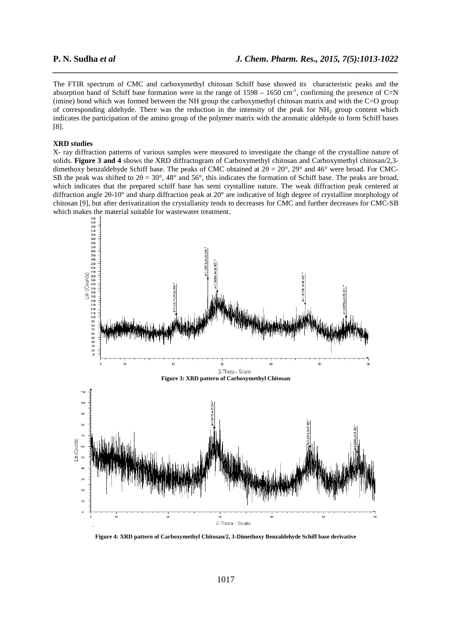The FTIR spectrum of CMC and carboxymethyl chitosan Schiff base showed its characteristic peaks and the absorption band of Schiff base formation were in the range of  $1598 - 1650$  cm<sup>-1</sup>, confirming the presence of C=N (imine) bond which was formed between the NH group the carboxymethyl chitosan matrix and with the C=O group of corresponding aldehyde. There was the reduction in the intensity of the peak for  $NH_2$  group content which indicates the participation of the amino group of the polymer matrix with the aromatic aldehyde to form Schiff bases [8].

*\_\_\_\_\_\_\_\_\_\_\_\_\_\_\_\_\_\_\_\_\_\_\_\_\_\_\_\_\_\_\_\_\_\_\_\_\_\_\_\_\_\_\_\_\_\_\_\_\_\_\_\_\_\_\_\_\_\_\_\_\_\_\_\_\_\_\_\_\_\_\_\_\_\_\_\_\_\_*

# **XRD studies**

X- ray diffraction patterns of various samples were measured to investigate the change of the crystalline nature of solids. **Figure 3 and 4** shows the XRD diffractogram of Carboxymethyl chitosan and Carboxymethyl chitosan/2,3 dimethoxy benzaldehyde Schiff base. The peaks of CMC obtained at 2θ = 20°, 29° and 46° were broad. For CMC-SB the peak was shifted to  $2\theta = 30^{\circ}$ , 48° and 56°, this indicates the formation of Schiff base. The peaks are broad, which indicates that the prepared schiff base has semi crystalline nature. The weak diffraction peak centered at diffraction angle 2θ-10° and sharp diffraction peak at 20° are indicative of high degree of crystalline morphology of chitosan [9], but after derivatization the crystallanity tends to decreases for CMC and further decreases for CMC-SB



**Figure 4: XRD pattern of Carboxymethyl Chitosan/2, 3-Dimethoxy Benzaldehyde Schiff base derivative**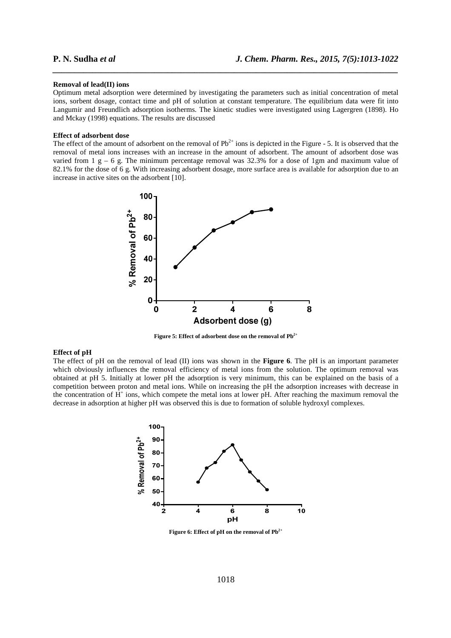#### **Removal of lead(II) ions**

Optimum metal adsorption were determined by investigating the parameters such as initial concentration of metal ions, sorbent dosage, contact time and pH of solution at constant temperature. The equilibrium data were fit into Langumir and Freundlich adsorption isotherms. The kinetic studies were investigated using Lagergren (1898). Ho and Mckay (1998) equations. The results are discussed

*\_\_\_\_\_\_\_\_\_\_\_\_\_\_\_\_\_\_\_\_\_\_\_\_\_\_\_\_\_\_\_\_\_\_\_\_\_\_\_\_\_\_\_\_\_\_\_\_\_\_\_\_\_\_\_\_\_\_\_\_\_\_\_\_\_\_\_\_\_\_\_\_\_\_\_\_\_\_*

### **Effect of adsorbent dose**

The effect of the amount of adsorbent on the removal of  $Pb^{2+}$  ions is depicted in the Figure - 5. It is observed that the removal of metal ions increases with an increase in the amount of adsorbent. The amount of adsorbent dose was varied from  $1 \text{ g} - 6 \text{ g}$ . The minimum percentage removal was 32.3% for a dose of 1gm and maximum value of 82.1% for the dose of 6 g. With increasing adsorbent dosage, more surface area is available for adsorption due to an increase in active sites on the adsorbent [10].



**Figure 5: Effect of adsorbent dose on the removal of Pb2+** 

# **Effect of pH**

The effect of pH on the removal of lead (II) ions was shown in the **Figure 6**. The pH is an important parameter which obviously influences the removal efficiency of metal ions from the solution. The optimum removal was obtained at pH 5. Initially at lower pH the adsorption is very minimum, this can be explained on the basis of a competition between proton and metal ions. While on increasing the pH the adsorption increases with decrease in the concentration of  $\hat{H}^+$  ions, which compete the metal ions at lower pH. After reaching the maximum removal the decrease in adsorption at higher pH was observed this is due to formation of soluble hydroxyl complexes.



**Figure 6: Effect of pH on the removal of Pb2+**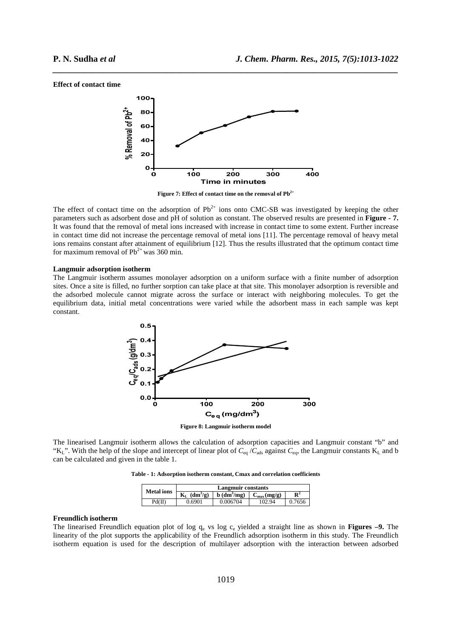#### **Effect of contact time**



*\_\_\_\_\_\_\_\_\_\_\_\_\_\_\_\_\_\_\_\_\_\_\_\_\_\_\_\_\_\_\_\_\_\_\_\_\_\_\_\_\_\_\_\_\_\_\_\_\_\_\_\_\_\_\_\_\_\_\_\_\_\_\_\_\_\_\_\_\_\_\_\_\_\_\_\_\_\_*

**Figure 7: Effect of contact time on the removal of Pb2+** 

The effect of contact time on the adsorption of  $Pb^{2+}$  ions onto CMC-SB was investigated by keeping the other parameters such as adsorbent dose and pH of solution as constant. The observed results are presented in **Figure - 7.** It was found that the removal of metal ions increased with increase in contact time to some extent. Further increase in contact time did not increase the percentage removal of metal ions [11]. The percentage removal of heavy metal ions remains constant after attainment of equilibrium [12]. Thus the results illustrated that the optimum contact time for maximum removal of  $Pb^{2+}$  was 360 min.

# **Langmuir adsorption isotherm**

The Langmuir isotherm assumes monolayer adsorption on a uniform surface with a finite number of adsorption sites. Once a site is filled, no further sorption can take place at that site. This monolayer adsorption is reversible and the adsorbed molecule cannot migrate across the surface or interact with neighboring molecules. To get the equilibrium data, initial metal concentrations were varied while the adsorbent mass in each sample was kept constant.



The linearised Langmuir isotherm allows the calculation of adsorption capacities and Langmuir constant "b" and "K<sub>L</sub>". With the help of the slope and intercept of linear plot of  $C_{eq}$  / $C_{ads}$  against  $C_{eq}$ , the Langmuir constants K<sub>L</sub> and b can be calculated and given in the table 1.

**Table - 1: Adsorption isotherm constant, Cmax and correlation coefficients** 

| <b>Metal</b> ions | Langmuir constants                      |                  |                         |                |  |  |
|-------------------|-----------------------------------------|------------------|-------------------------|----------------|--|--|
|                   | $(dm^3/g)$<br>$\mathbf{K}_{\mathrm{L}}$ | $b \, (dm^3/mg)$ | $C_{\text{max}}$ (mg/g) | $\mathbf{R}^2$ |  |  |
| Pd(II)            | 0.6901                                  | 0.006704         | 102.94                  | 0.7656         |  |  |

# **Freundlich isotherm**

The linearised Freundlich equation plot of log q<sub>e</sub> vs log c<sub>e</sub> yielded a straight line as shown in **Figures –9.** The linearity of the plot supports the applicability of the Freundlich adsorption isotherm in this study. The Freundlich isotherm equation is used for the description of multilayer adsorption with the interaction between adsorbed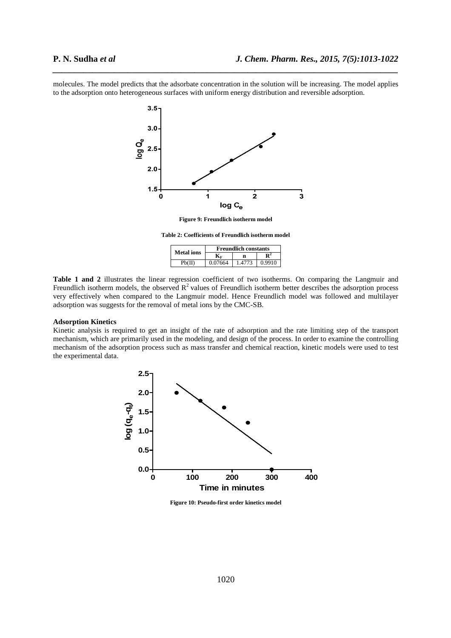molecules. The model predicts that the adsorbate concentration in the solution will be increasing. The model applies to the adsorption onto heterogeneous surfaces with uniform energy distribution and reversible adsorption.

*\_\_\_\_\_\_\_\_\_\_\_\_\_\_\_\_\_\_\_\_\_\_\_\_\_\_\_\_\_\_\_\_\_\_\_\_\_\_\_\_\_\_\_\_\_\_\_\_\_\_\_\_\_\_\_\_\_\_\_\_\_\_\_\_\_\_\_\_\_\_\_\_\_\_\_\_\_\_*



**Figure 9: Freundlich isotherm model** 

**Table 2: Coefficients of Freundlich isotherm model** 

| <b>Metal</b> ions | <b>Freundlich constants</b> |       |        |  |
|-------------------|-----------------------------|-------|--------|--|
|                   |                             |       |        |  |
| Ph(II)            | 0.07664                     | 14773 | 0.9910 |  |

**Table 1 and 2** illustrates the linear regression coefficient of two isotherms. On comparing the Langmuir and Freundlich isotherm models, the observed  $R^2$  values of Freundlich isotherm better describes the adsorption process very effectively when compared to the Langmuir model. Hence Freundlich model was followed and multilayer adsorption was suggests for the removal of metal ions by the CMC-SB.

# **Adsorption Kinetics**

Kinetic analysis is required to get an insight of the rate of adsorption and the rate limiting step of the transport mechanism, which are primarily used in the modeling, and design of the process. In order to examine the controlling mechanism of the adsorption process such as mass transfer and chemical reaction, kinetic models were used to test the experimental data.



**Figure 10: Pseudo-first order kinetics model**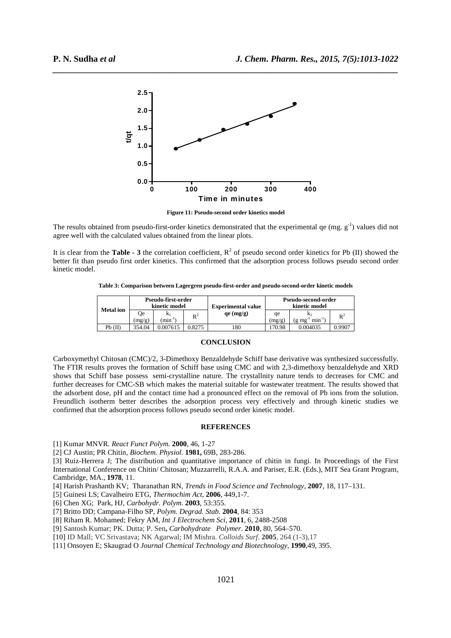

*\_\_\_\_\_\_\_\_\_\_\_\_\_\_\_\_\_\_\_\_\_\_\_\_\_\_\_\_\_\_\_\_\_\_\_\_\_\_\_\_\_\_\_\_\_\_\_\_\_\_\_\_\_\_\_\_\_\_\_\_\_\_\_\_\_\_\_\_\_\_\_\_\_\_\_\_\_\_*

**Figure 11: Pseudo-second order kinetics model**

The results obtained from pseudo-first-order kinetics demonstrated that the experimental qe (mg.  $g^{-1}$ ) values did not agree well with the calculated values obtained from the linear plots.

It is clear from the **Table - 3** the correlation coefficient,  $R^2$  of pseudo second order kinetics for Pb (II) showed the better fit than pseudo first order kinetics. This confirmed that the adsorption process follows pseudo second order kinetic model.

**Table 3: Comparison between Lagergren pseudo-first-order and pseudo-second-order kinetic models** 

| <b>Metal</b> ion | Pseudo-first-order<br>kinetic model |                         | <b>Experimental value</b> | Pseudo-second-order<br>kinetic model |              |                    |                |
|------------------|-------------------------------------|-------------------------|---------------------------|--------------------------------------|--------------|--------------------|----------------|
|                  | 0e<br>(mg/g)                        | K1<br>$\text{min}^{-1}$ | $\mathbb{R}^2$            | qe (mg/g)                            | qe<br>(mg/g) | $min^{-1}$<br>g mg | $\mathbb{R}^2$ |
| Pb(II)           | 354.04                              | 0.007615                | 0.8275                    | 180                                  | 70.98        | 0.004035           | 0.9907         |

#### **CONCLUSION**

Carboxymethyl Chitosan (CMC)/2, 3-Dimethoxy Benzaldehyde Schiff base derivative was synthesized successfully. The FTIR results proves the formation of Schiff base using CMC and with 2,3-dimethoxy benzaldehyde and XRD shows that Schiff base possess semi-crystalline nature. The crystallnity nature tends to decreases for CMC and further decreases for CMC-SB which makes the material suitable for wastewater treatment. The results showed that the adsorbent dose, pH and the contact time had a pronounced effect on the removal of Pb ions from the solution. Freundlich isotherm better describes the adsorption process very effectively and through kinetic studies we confirmed that the adsorption process follows pseudo second order kinetic model.

### **REFERENCES**

[1] Kumar MNVR*. React Funct Polym.* **2000**, 46, 1-27

[2] CJ Austin; PR Chitin*, Biochem. Physiol.* **1981,** 69B, 283-286.

[3] Ruiz-Herrera J; The distribution and quantitative importance of chitin in fungi. In Proceedings of the First International Conference on Chitin/ Chitosan; Muzzarrelli, R.A.A. and Pariser, E.R. (Eds.), MIT Sea Grant Program, Cambridge, MA., **1978**, 11.

[4] Harish Prashanth KV; Tharanathan RN, *Trends in Food Science and Technology*, **2007**, 18, 117–131.

[5] Guinesi LS; Cavalheiro ETG, *Thermochim Act*, **2006**, 449,1-7.

[6] Chen XG; Park, HJ, *Carbohydr. Polym*. **2003**, 53:355.

[7] Britto DD; Campana-Filho SP, *Polym. Degrad. Stab.* **2004**, 84: 353

[8] Riham R. Mohamed; Fekry AM, *Int J Electrochem Sci,* **2011**, 6, 2488-2508

[9] Santosh Kumar; PK. Dutta; P. Sen**,** *Carbohydrate Polymer*. **2010**, 80, 564–570.

[10] ID Mall; VC Srivastava; NK Agarwal; IM Mishra. *Colloids Surf*. **2005**, 264 (1-3),17

[11] Onsoyen E; Skaugrad O *Journal Chemical Technology and Biotechnology*, **1990**,49, 395.